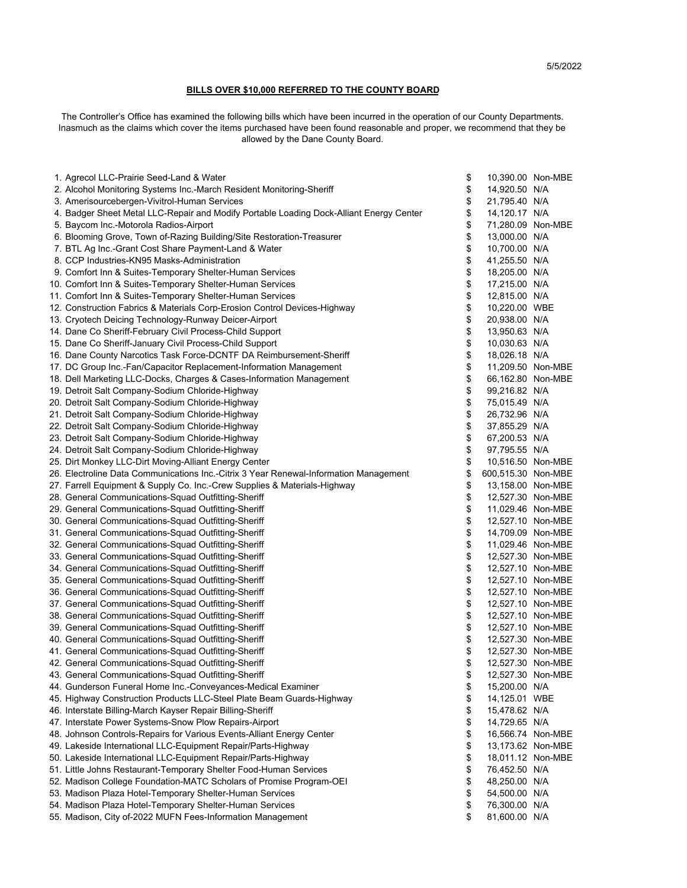## **BILLS OVER \$10,000 REFERRED TO THE COUNTY BOARD**

The Controller's Office has examined the following bills which have been incurred in the operation of our County Departments. Inasmuch as the claims which cover the items purchased have been found reasonable and proper, we recommend that they be allowed by the Dane County Board.

| 1. Agrecol LLC-Prairie Seed-Land & Water                                                | \$<br>10,390.00 Non-MBE  |  |
|-----------------------------------------------------------------------------------------|--------------------------|--|
| 2. Alcohol Monitoring Systems Inc.-March Resident Monitoring-Sheriff                    | \$<br>14,920.50 N/A      |  |
| 3. Amerisourcebergen-Vivitrol-Human Services                                            | \$<br>21,795.40 N/A      |  |
| 4. Badger Sheet Metal LLC-Repair and Modify Portable Loading Dock-Alliant Energy Center | \$<br>14,120.17 N/A      |  |
| 5. Baycom Inc.-Motorola Radios-Airport                                                  | \$<br>71,280.09 Non-MBE  |  |
| 6. Blooming Grove, Town of-Razing Building/Site Restoration-Treasurer                   | \$<br>13,000.00 N/A      |  |
| 7. BTL Ag Inc.-Grant Cost Share Payment-Land & Water                                    | \$<br>10,700.00 N/A      |  |
| 8. CCP Industries-KN95 Masks-Administration                                             | \$<br>41,255.50 N/A      |  |
| 9. Comfort Inn & Suites-Temporary Shelter-Human Services                                | \$<br>18,205.00 N/A      |  |
| 10. Comfort Inn & Suites-Temporary Shelter-Human Services                               | \$<br>17,215.00 N/A      |  |
| 11. Comfort Inn & Suites-Temporary Shelter-Human Services                               | \$<br>12,815.00 N/A      |  |
| 12. Construction Fabrics & Materials Corp-Erosion Control Devices-Highway               | \$<br>10,220.00 WBE      |  |
| 13. Cryotech Deicing Technology-Runway Deicer-Airport                                   | \$<br>20,938.00 N/A      |  |
| 14. Dane Co Sheriff-February Civil Process-Child Support                                | \$<br>13,950.63 N/A      |  |
| 15. Dane Co Sheriff-January Civil Process-Child Support                                 | \$<br>10,030.63 N/A      |  |
| 16. Dane County Narcotics Task Force-DCNTF DA Reimbursement-Sheriff                     | \$<br>18,026.18 N/A      |  |
| 17. DC Group Inc.-Fan/Capacitor Replacement-Information Management                      | \$<br>11,209.50 Non-MBE  |  |
| 18. Dell Marketing LLC-Docks, Charges & Cases-Information Management                    | \$<br>66,162.80 Non-MBE  |  |
| 19. Detroit Salt Company-Sodium Chloride-Highway                                        | \$<br>99,216.82 N/A      |  |
| 20. Detroit Salt Company-Sodium Chloride-Highway                                        | \$<br>75,015.49 N/A      |  |
| 21. Detroit Salt Company-Sodium Chloride-Highway                                        | \$<br>26,732.96 N/A      |  |
| 22. Detroit Salt Company-Sodium Chloride-Highway                                        | \$<br>37,855.29 N/A      |  |
| 23. Detroit Salt Company-Sodium Chloride-Highway                                        | \$<br>67,200.53 N/A      |  |
| 24. Detroit Salt Company-Sodium Chloride-Highway                                        | \$<br>97,795.55 N/A      |  |
| 25. Dirt Monkey LLC-Dirt Moving-Alliant Energy Center                                   | \$<br>10,516.50 Non-MBE  |  |
| 26. Electroline Data Communications Inc.-Citrix 3 Year Renewal-Information Management   | \$<br>600,515.30 Non-MBE |  |
| 27. Farrell Equipment & Supply Co. Inc.-Crew Supplies & Materials-Highway               | \$<br>13,158.00 Non-MBE  |  |
| 28. General Communications-Squad Outfitting-Sheriff                                     | \$<br>12,527.30 Non-MBE  |  |
| 29. General Communications-Squad Outfitting-Sheriff                                     | \$<br>11,029.46 Non-MBE  |  |
| 30. General Communications-Squad Outfitting-Sheriff                                     | \$<br>12,527.10 Non-MBE  |  |
| 31. General Communications-Squad Outfitting-Sheriff                                     | \$<br>14,709.09 Non-MBE  |  |
| 32. General Communications-Squad Outfitting-Sheriff                                     | \$<br>11,029.46 Non-MBE  |  |
| 33. General Communications-Squad Outfitting-Sheriff                                     | \$<br>12,527.30 Non-MBE  |  |
| 34. General Communications-Squad Outfitting-Sheriff                                     | \$<br>12,527.10 Non-MBE  |  |
| 35. General Communications-Squad Outfitting-Sheriff                                     | \$<br>12,527.10 Non-MBE  |  |
| 36. General Communications-Squad Outfitting-Sheriff                                     | \$<br>12,527.10 Non-MBE  |  |
| 37. General Communications-Squad Outfitting-Sheriff                                     | \$<br>12,527.10 Non-MBE  |  |
| 38. General Communications-Squad Outfitting-Sheriff                                     | \$<br>12,527.10 Non-MBE  |  |
| 39. General Communications-Squad Outfitting-Sheriff                                     | \$<br>12,527.10 Non-MBE  |  |
| 40. General Communications-Squad Outfitting-Sheriff                                     | \$<br>12,527.30 Non-MBE  |  |
| 41. General Communications-Squad Outfitting-Sheriff                                     | \$<br>12,527.30 Non-MBE  |  |
| 42. General Communications-Squad Outfitting-Sheriff                                     | \$<br>12,527.30 Non-MBE  |  |
| 43. General Communications-Squad Outfitting-Sheriff                                     | \$<br>12,527.30 Non-MBE  |  |
| 44. Gunderson Funeral Home Inc.-Conveyances-Medical Examiner                            | \$<br>15,200.00 N/A      |  |
| 45. Highway Construction Products LLC-Steel Plate Beam Guards-Highway                   | \$<br>14,125.01 WBE      |  |
| 46. Interstate Billing-March Kayser Repair Billing-Sheriff                              | \$<br>15,478.62 N/A      |  |
| 47. Interstate Power Systems-Snow Plow Repairs-Airport                                  | \$<br>14,729.65 N/A      |  |
| 48. Johnson Controls-Repairs for Various Events-Alliant Energy Center                   | \$<br>16,566.74 Non-MBE  |  |
| 49. Lakeside International LLC-Equipment Repair/Parts-Highway                           | \$<br>13,173.62 Non-MBE  |  |
| 50. Lakeside International LLC-Equipment Repair/Parts-Highway                           | \$<br>18,011.12 Non-MBE  |  |
| 51. Little Johns Restaurant-Temporary Shelter Food-Human Services                       | \$<br>76,452.50 N/A      |  |
| 52. Madison College Foundation-MATC Scholars of Promise Program-OEI                     | \$<br>48,250.00 N/A      |  |
| 53. Madison Plaza Hotel-Temporary Shelter-Human Services                                | \$<br>54,500.00 N/A      |  |
| 54. Madison Plaza Hotel-Temporary Shelter-Human Services                                | \$<br>76,300.00 N/A      |  |
| 55. Madison, City of-2022 MUFN Fees-Information Management                              | \$<br>81,600.00 N/A      |  |